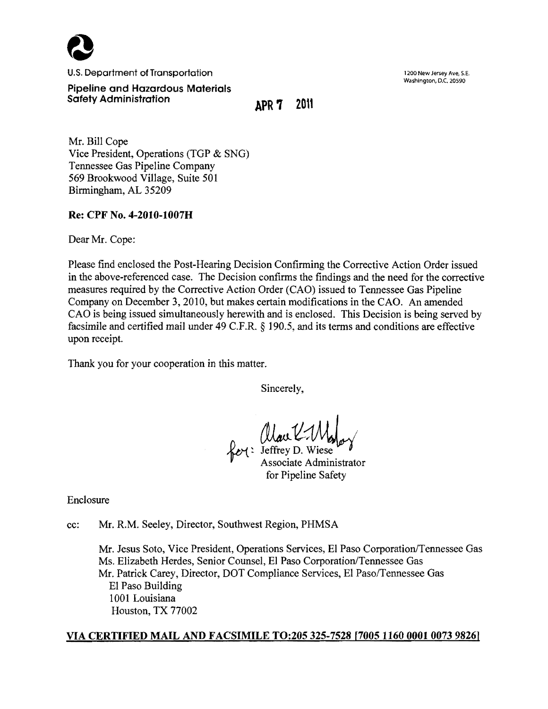

U.S. Department of Transportation 1200 New Jersey Ave, S.E.

Washington, D.C. 20590

Pipeline and Hazardous Materials Safety Administration **APR** 7 2011

Mr. Bill Cope Vice President, Operations (TGP & SNG) Tennessee Gas Pipeline Company 569 Brookwood Village, Suite 501 Birmingham, AL 35209

## Re: CPF No. 4-2010-1007H

Dear Mr. Cope:

Please find enclosed the Post-Hearing Decision Confirming the Corrective Action Order issued in the above-referenced case. The Decision confirms the findings and the need for the corrective measures required by the Corrective Action Order (CAO) issued to Tennessee Gas Pipeline Company on December 3, 2010, but makes certain modifications in the CAO. An amended CAO is being issued simultaneously herewith and is enclosed. This Decision is being served by facsimile and certified mail under 49 C.F.R. § 190.5, and its terms and conditions are effective upon receipt.

Thank you for your cooperation in this matter.

Sincerely,

Rol: Alau K.Maloy

for Pipeline Safety

Enclosure

cc: Mr. R.M. Seeley, Director, Southwest Region, PHMSA

Mr. Jesus Soto, Vice President, Operations Services, EI Paso Corporation/Tennessee Gas Ms. Elizabeth Herdes, Senior Counsel, EI Paso Corporation/Tennessee Gas Mr. Patrick Carey, Director, DOT Compliance Services, EI Paso/Tennessee Gas EI Paso Building 1001 Louisiana Houston, TX 77002

# VIA CERTIFIED MAIL AND FACSIMILE TO:205 325-7528 [700511600001007398261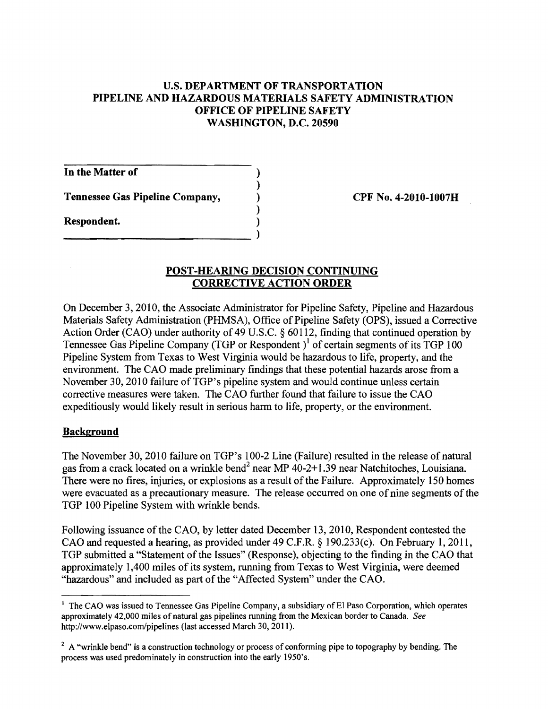## U.S. DEPARTMENT OF TRANSPORTATION PIPELINE AND HAZARDOUS MATERIALS SAFETY ADMINISTRATION OFFICE OF PIPELINE SAFETY WASHINGTON, D.C. 20590

)

)

In the Matter of )

Tennessee Gas Pipeline Company, (a) CPF No. 4-2010-1007H

--------------------------)

Respondent. )

## POST-HEARING DECISION CONTINUING CORRECTIVE ACTION ORDER

On December 3,2010, the Associate Administrator for Pipeline Safety, Pipeline and Hazardous Materials Safety Administration (PHMSA), Office of Pipeline Safety (OPS), issued a Corrective Action Order (CAO) under authority of 49 U.S.C.  $\S$  60112, finding that continued operation by Tennessee Gas Pipeline Company (TGP or Respondent)<sup>1</sup> of certain segments of its TGP 100 Pipeline System from Texas to West Virginia would be hazardous to life, property, and the environment. The CAO made preliminary findings that these potential hazards arose from a November 30, 2010 failure of TGP's pipeline system and would continue unless certain corrective measures were taken. The CAO further found that failure to issue the CAO expeditiously would likely result in serious harm to life, property, or the environment.

# **Background**

The November 30, 2010 failure on TGP's 100-2 Line (Failure) resulted in the release of natural gas from a crack located on a wrinkle bend<sup>2</sup> near MP  $40-2+1.39$  near Natchitoches, Louisiana. There were no fires, injuries, or explosions as a result of the Failure. Approximately 150 homes were evacuated as a precautionary measure. The release occurred on one of nine segments of the TGP 100 Pipeline System with wrinkle bends.

Following issuance of the CAO, by letter dated December 13, 2010, Respondent contested the CAO and requested a hearing, as provided under 49 C.F.R. § 190.233(c). On February 1,2011, TGP submitted a "Statement of the Issues" (Response), objecting to the finding in the CAO that approximately 1,400 miles of its system, running from Texas to West Virginia, were deemed "hazardous" and included as part of the "Affected System" under the CAO.

<sup>&</sup>lt;sup>1</sup> The CAO was issued to Tennessee Gas Pipeline Company, a subsidiary of El Paso Corporation, which operates approximately 42,000 miles of natural gas pipelines running from the Mexican border to Canada. *See*  http://www.elpaso.com/pipelines (last accessed March 30, 2011).

 $2A$  "wrinkle bend" is a construction technology or process of conforming pipe to topography by bending. The process was used predominately in construction into the early 1950's.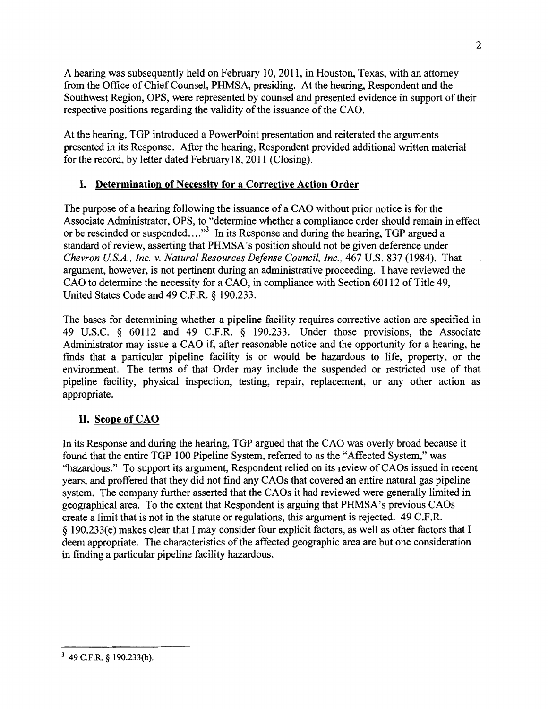A hearing was subsequently held on February 10,2011, in Houston, Texas, with an attorney from the Office of Chief Counsel, PHMSA, presiding. At the hearing, Respondent and the Southwest Region, OPS, were represented by counsel and presented evidence in support of their respective positions regarding the validity of the issuance of the CAO.

At the hearing, TGP introduced a PowerPoint presentation and reiterated the arguments presented in its Response. After the hearing, Respondent provided additional written material for the record, by letter dated February 18, 2011 (Closing).

## I. Determination of Necessity for a Corrective Action Order

The purpose of a hearing following the issuance of a CAO without prior notice is for the Associate Administrator, OPS, to "determine whether a compliance order should remain in effect or be rescinded or suspended...,"<sup>3</sup> In its Response and during the hearing, TGP argued a standard of review, asserting that PHMSA's position should not be given deference under *Chevron U.S.A., Inc.* v. *Natural Resources Defense Council, Inc.,* 467 U.S. 837 (1984). That argument, however, is not pertinent during an administrative proceeding. I have reviewed the CAO to determine the necessity for a CAO, in compliance with Section 60112 of Title 49, United States Code and 49 C.F.R. § 190.233.

The bases for determining whether a pipeline facility requires corrective action are specified in 49 U.S.C. § 60112 and 49 C.F.R. § 190.233. Under those provisions, the Associate Administrator may issue a CAO if, after reasonable notice and the opportunity for a hearing, he finds that a particular pipeline facility is or would be hazardous to life, property, or the environment. The terms of that Order may include the suspended or restricted use of that pipeline facility, physical inspection, testing, repair, replacement, or any other action as appropriate.

## II. Scope of CAO

In its Response and during the hearing, TGP argued that the CAO was overly broad because it found that the entire TGP 100 Pipeline System, referred to as the "Affected System," was "hazardous." To support its argument, Respondent relied on its review of CAOs issued in recent years, and proffered that they did not find any CAOs that covered an entire natural gas pipeline system. The company further asserted that the CAOs it had reviewed were generally limited in geographical area. To the extent that Respondent is arguing that PHMSA's previous CAOs create a limit that is not in the statute or regulations, this argument is rejected. 49 C.F.R. § 190.233(e) makes clear that I may consider four explicit factors, as well as other factors that I deem appropriate. The characteristics of the affected geographic area are but one consideration in finding a particular pipeline facility hazardous.

 $3\,$  49 C.F.R.  $\frac{1}{9}$  190.233(b).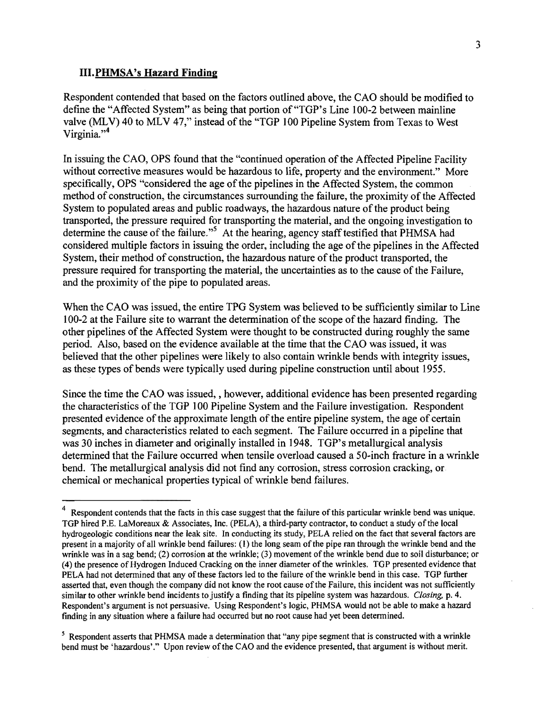#### III.PHMSA's Hazard Finding

Respondent contended that based on the factors outlined above, the CAO should be modified to define the "Affected System" as being that portion of "TGP's Line 100-2 between mainline valve (MLV) 40 to MLV 47," instead of the "TGP 100 Pipeline System from Texas to West Virginia." $4$ 

In issuing the CAO, OPS found that the "continued operation of the Affected Pipeline Facility without corrective measures would be hazardous to life, property and the environment." More specifically, OPS "considered the age of the pipelines in the Affected System, the common method of construction, the circumstances surrounding the failure, the proximity of the Affected System to populated areas and public roadways, the hazardous nature of the product being transported, the pressure required for transporting the material, and the ongoing investigation to determine the cause of the failure."<sup>5</sup> At the hearing, agency staff testified that PHMSA had considered multiple factors in issuing the order, including the age of the pipelines in the Affected System, their method of construction, the hazardous nature of the product transported, the pressure required for transporting the material, the uncertainties as to the cause of the Failure, and the proximity of the pipe to populated areas.

When the CAO was issued, the entire TPG System was believed to be sufficiently similar to Line 100-2 at the Failure site to warrant the determination of the scope of the hazard finding. The other pipelines of the Affected System were thought to be constructed during roughly the same period. Also, based on the evidence available at the time that the CAO was issued, it was believed that the other pipelines were likely to also contain wrinkle bends with integrity issues, as these types of bends were typically used during pipeline construction until about 1955.

Since the time the CAO was issued, , however, additional evidence has been presented regarding the characteristics of the TGP 100 Pipeline System and the Failure investigation. Respondent presented evidence of the approximate length of the entire pipeline system, the age of certain segments, and characteristics related to each segment. The Failure occurred in a pipeline that was 30 inches in diameter and originally installed in 1948. TGP's metallurgical analysis determined that the Failure occurred when tensile overload caused a 50-inch fracture in a wrinkle bend. The metallurgical analysis did not find any corrosion, stress corrosion cracking, or chemical or mechanical properties typical of wrinkle bend failures.

Respondent contends that the facts in this case suggest that the failure of this particular wrinkle bend was unique. TOP hired P.E. LaMoreaux & Associates, Inc. (PELA), a third-party contractor, to conduct a study ofthe local hydrogeologic conditions near the leak site. In conducting its study, PELA relied on the fact that several factors are present in a majority of all wrinkle bend failures: (I) the long seam of the pipe ran through the wrinkle bend and the wrinkle was in a sag bend; (2) corrosion at the wrinkle; (3) movement of the wrinkle bend due to soil disturbance; or (4) the presence of Hydrogen Induced Cracking on the inner diameter of the wrinkles. TOP presented evidence that PELA had not determined that any of these factors led to the failure of the wrinkle bend in this case. TGP further asserted that, even though the company did not know the root cause ofthe Failure, this incident was not sufficiently similar to other wrinkle bend incidents to justify a finding that its pipeline system was hazardous. *Closing*, p. 4. Respondent's argument is not persuasive. Using Respondent's logic, PHMSA would not be able to make a hazard finding in any situation where a failure had occurred but no root cause had yet been determined.

<sup>&</sup>lt;sup>5</sup> Respondent asserts that PHMSA made a determination that "any pipe segment that is constructed with a wrinkle bend must be 'hazardous'." Upon review of the CAO and the evidence presented, that argument is without merit.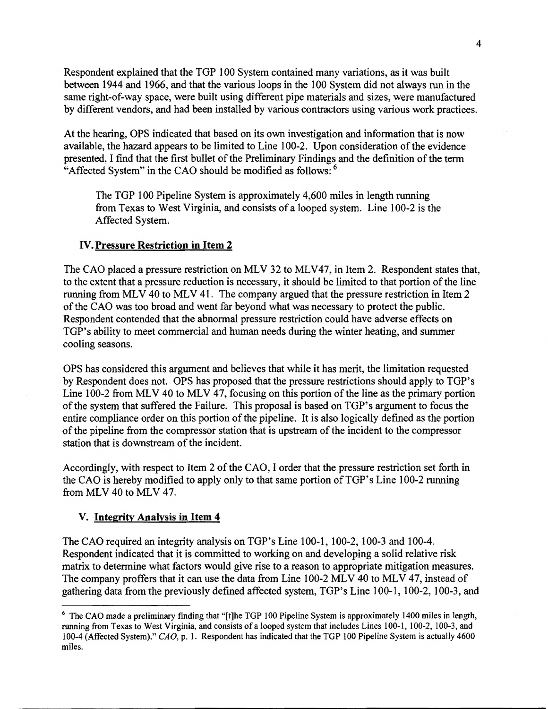Respondent explained that the TOP 100 System contained many variations, as it was built between 1944 and 1966, and that the various loops in the 100 System did not always run in the same right-of-way space, were built using different pipe materials and sizes, were manufactured by different vendors, and had been installed by various contractors using various work practices.

At the hearing, OPS indicated that based on its own investigation and information that is now available, the hazard appears to be limited to Line 100-2. Upon consideration of the evidence presented, I find that the first bullet of the Preliminary Findings and the definition of the term "Affected System" in the CAO should be modified as follows: <sup>6</sup>

The TOP 100 Pipeline System is approximately 4,600 miles in length running from Texas to West Virginia, and consists of a looped system. Line 100-2 is the Affected System.

### IV. Pressure Restriction in Item 2

The CAO placed a pressure restriction on MLV 32 to MLV47, in Item 2. Respondent states that, to the extent that a pressure reduction is necessary, it should be limited to that portion of the line running from MLV 40 to MLV 41. The company argued that the pressure restriction in Item 2 of the CAO was too broad and went far beyond what was necessary to protect the public. Respondent contended that the abnormal pressure restriction could have adverse effects on TOP's ability to meet commercial and human needs during the winter heating, and summer cooling seasons.

OPS has considered this argument and believes that while it has merit, the limitation requested by Respondent does not. OPS has proposed that the pressure restrictions should apply to TOP's Line 100-2 from MLV 40 to MLV 47, focusing on this portion of the line as the primary portion ofthe system that suffered the Failure. This proposal is based on TOP's argument to focus the entire compliance order on this portion of the pipeline. It is also logically defined as the portion ofthe pipeline from the compressor station that is upstream ofthe incident to the compressor station that is downstream of the incident.

Accordingly, with respect to Item 2 of the CAO, I order that the pressure restriction set forth in the CAO is hereby modified to apply only to that same portion of TGP's Line 100-2 running from MLV 40 to MLV 47.

### V. Integrity Analysis in Item 4

The CAO required an integrity analysis on TOP's Line 100-1, 100-2, 100-3 and 100-4. Respondent indicated that it is committed to working on and developing a solid relative risk matrix to determine what factors would give rise to a reason to appropriate mitigation measures. The company proffers that it can use the data from Line 100-2 MLV 40 to MLV 47, instead of gathering data from the previously defined affected system, TOP's Line 100-1, 100-2, 100-3, and

<sup>&</sup>lt;sup>6</sup> The CAO made a preliminary finding that "[t]he TGP 100 Pipeline System is approximately 1400 miles in length, running from Texas to West Virginia, and consists of a looped system that includes Lines 100-1, 100-2, 100-3, and 100-4 (Affected System)." CAD, p. 1. Respondent has indicated that the TOP 100 Pipeline System is actually 4600 miles.